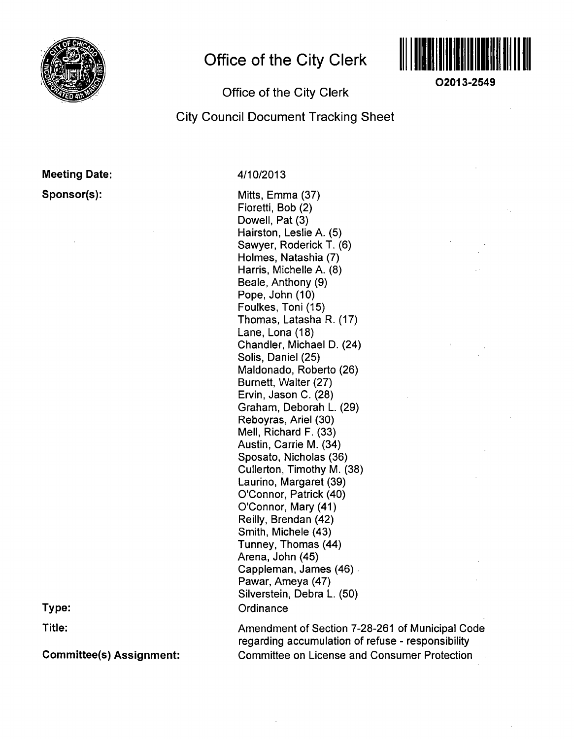

# **Office of the City Clerk**



**02013-2549** 

## **Office of the City Clerk**

# **City Council Document Tracking Sheet**

# **Meeting Date:**

## **Sponsor(s):**

**Type:** 

**Title:** 

**Committee(s) Assignment:** 

#### 4/10/2013

Mitts, Emma (37) Fioretti, Bob (2) Dowell, Pat (3) Hairston, Leslie A. (5) Sawyer, Roderick T. (6) Holmes, Natashia (7) Harris, Michelle A. (8) Beale, Anthony (9) Pope, John (10) Foulkes, Toni (15) Thomas, Latasha R. (17) Lane, Lona (18) Chandler, Michael D. (24) Solis, Daniel (25) Maldonado, Roberto (26) Burnett, Walter (27) Ervin, Jason C. (28) Graham, Deborah L. (29) Reboyras, Ariel (30) Mell, Richard F. (33) Austin, Carrie M. (34) Sposato, Nicholas (36) Cullerton, Timothy M. (38) Laurino, Margaret (39) O'Connor, Patrick (40) O'Connor, Mary (41) Reilly, Brendan (42) Smith, Michele (43) Tunney, Thomas (44) Arena, John (45) Cappieman, James (46) Pawar, Ameya (47) Silverstein, Debra L. (50) **Ordinance** 

Amendment of Section 7-28-261 of Municipal Code regarding accumulation of refuse - responsibility Committee on License and Consumer Protection